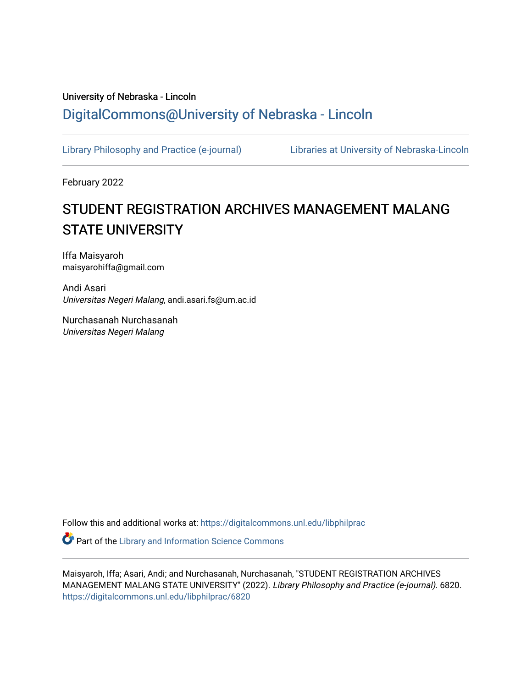## University of Nebraska - Lincoln [DigitalCommons@University of Nebraska - Lincoln](https://digitalcommons.unl.edu/)

[Library Philosophy and Practice \(e-journal\)](https://digitalcommons.unl.edu/libphilprac) [Libraries at University of Nebraska-Lincoln](https://digitalcommons.unl.edu/libraries) 

February 2022

# STUDENT REGISTRATION ARCHIVES MANAGEMENT MALANG STATE UNIVERSITY

Iffa Maisyaroh maisyarohiffa@gmail.com

Andi Asari Universitas Negeri Malang, andi.asari.fs@um.ac.id

Nurchasanah Nurchasanah Universitas Negeri Malang

Follow this and additional works at: [https://digitalcommons.unl.edu/libphilprac](https://digitalcommons.unl.edu/libphilprac?utm_source=digitalcommons.unl.edu%2Flibphilprac%2F6820&utm_medium=PDF&utm_campaign=PDFCoverPages) 

**Part of the Library and Information Science Commons** 

Maisyaroh, Iffa; Asari, Andi; and Nurchasanah, Nurchasanah, "STUDENT REGISTRATION ARCHIVES MANAGEMENT MALANG STATE UNIVERSITY" (2022). Library Philosophy and Practice (e-journal). 6820. [https://digitalcommons.unl.edu/libphilprac/6820](https://digitalcommons.unl.edu/libphilprac/6820?utm_source=digitalcommons.unl.edu%2Flibphilprac%2F6820&utm_medium=PDF&utm_campaign=PDFCoverPages)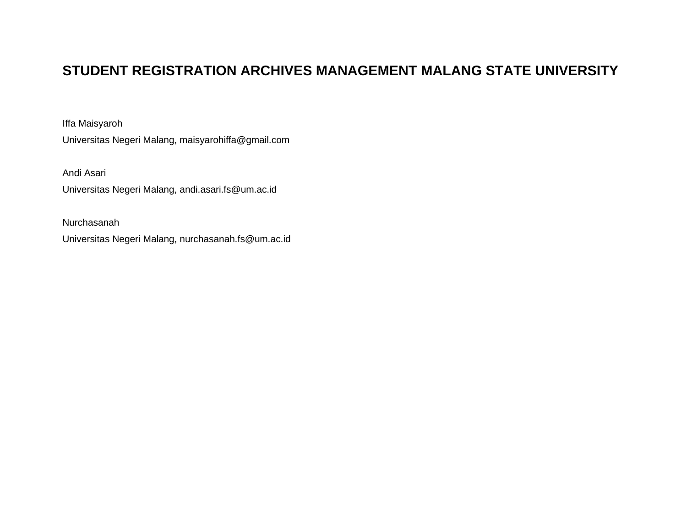## **STUDENT REGISTRATION ARCHIVES MANAGEMENT MALANG STATE UNIVERSITY**

Iffa Maisyaroh

Universitas Negeri Malang, maisyarohiffa@gmail.com

Andi Asari

Universitas Negeri Malang, andi.asari.fs@um.ac.id

Nurchasanah

Universitas Negeri Malang, nurchasanah.fs@um.ac.id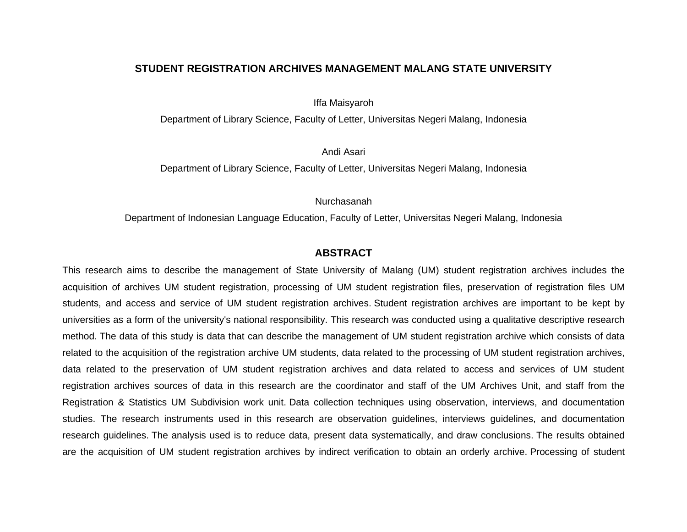#### **STUDENT REGISTRATION ARCHIVES MANAGEMENT MALANG STATE UNIVERSITY**

Iffa Maisyaroh

Department of Library Science, Faculty of Letter, Universitas Negeri Malang, Indonesia

Andi Asari

Department of Library Science, Faculty of Letter, Universitas Negeri Malang, Indonesia

Nurchasanah

Department of Indonesian Language Education, Faculty of Letter, Universitas Negeri Malang, Indonesia

## **ABSTRACT**

This research aims to describe the management of State University of Malang (UM) student registration archives includes the acquisition of archives UM student registration, processing of UM student registration files, preservation of registration files UM students, and access and service of UM student registration archives. Student registration archives are important to be kept by universities as a form of the university's national responsibility. This research was conducted using a qualitative descriptive research method. The data of this study is data that can describe the management of UM student registration archive which consists of data related to the acquisition of the registration archive UM students, data related to the processing of UM student registration archives, data related to the preservation of UM student registration archives and data related to access and services of UM student registration archives sources of data in this research are the coordinator and staff of the UM Archives Unit, and staff from the Registration & Statistics UM Subdivision work unit. Data collection techniques using observation, interviews, and documentation studies. The research instruments used in this research are observation guidelines, interviews guidelines, and documentation research guidelines. The analysis used is to reduce data, present data systematically, and draw conclusions. The results obtained are the acquisition of UM student registration archives by indirect verification to obtain an orderly archive. Processing of student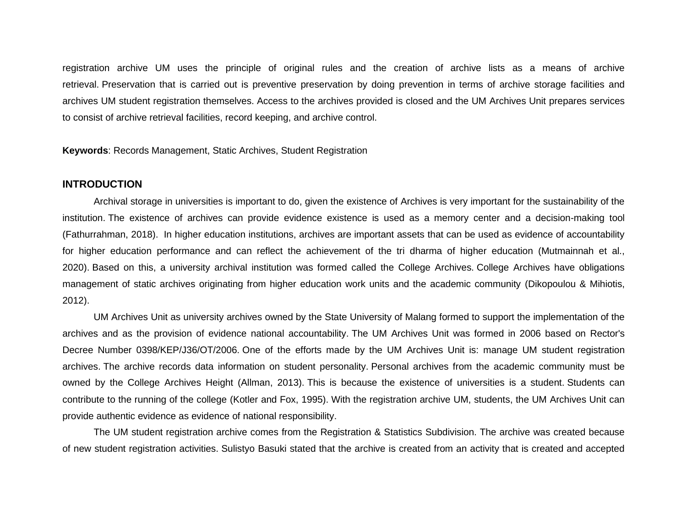registration archive UM uses the principle of original rules and the creation of archive lists as a means of archive retrieval. Preservation that is carried out is preventive preservation by doing prevention in terms of archive storage facilities and archives UM student registration themselves. Access to the archives provided is closed and the UM Archives Unit prepares services to consist of archive retrieval facilities, record keeping, and archive control.

**Keywords**: Records Management, Static Archives, Student Registration

## **INTRODUCTION**

Archival storage in universities is important to do, given the existence of Archives is very important for the sustainability of the institution. The existence of archives can provide evidence existence is used as a memory center and a decision-making tool (Fathurrahman, 2018). In higher education institutions, archives are important assets that can be used as evidence of accountability for higher education performance and can reflect the achievement of the tri dharma of higher education (Mutmainnah et al., 2020). Based on this, a university archival institution was formed called the College Archives. College Archives have obligations management of static archives originating from higher education work units and the academic community (Dikopoulou & Mihiotis, 2012).

UM Archives Unit as university archives owned by the State University of Malang formed to support the implementation of the archives and as the provision of evidence national accountability. The UM Archives Unit was formed in 2006 based on Rector's Decree Number 0398/KEP/J36/OT/2006. One of the efforts made by the UM Archives Unit is: manage UM student registration archives. The archive records data information on student personality. Personal archives from the academic community must be owned by the College Archives Height (Allman, 2013). This is because the existence of universities is a student. Students can contribute to the running of the college (Kotler and Fox, 1995). With the registration archive UM, students, the UM Archives Unit can provide authentic evidence as evidence of national responsibility.

The UM student registration archive comes from the Registration & Statistics Subdivision. The archive was created because of new student registration activities. Sulistyo Basuki stated that the archive is created from an activity that is created and accepted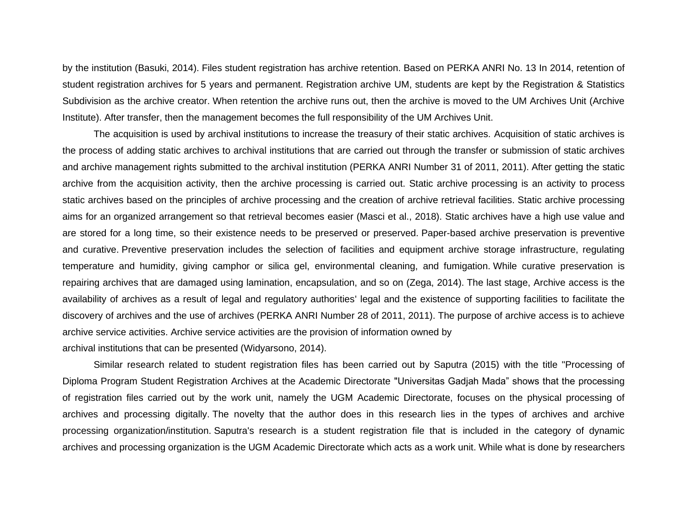by the institution (Basuki, 2014). Files student registration has archive retention. Based on PERKA ANRI No. 13 In 2014, retention of student registration archives for 5 years and permanent. Registration archive UM, students are kept by the Registration & Statistics Subdivision as the archive creator. When retention the archive runs out, then the archive is moved to the UM Archives Unit (Archive Institute). After transfer, then the management becomes the full responsibility of the UM Archives Unit.

The acquisition is used by archival institutions to increase the treasury of their static archives. Acquisition of static archives is the process of adding static archives to archival institutions that are carried out through the transfer or submission of static archives and archive management rights submitted to the archival institution (PERKA ANRI Number 31 of 2011, 2011). After getting the static archive from the acquisition activity, then the archive processing is carried out. Static archive processing is an activity to process static archives based on the principles of archive processing and the creation of archive retrieval facilities. Static archive processing aims for an organized arrangement so that retrieval becomes easier (Masci et al., 2018). Static archives have a high use value and are stored for a long time, so their existence needs to be preserved or preserved. Paper-based archive preservation is preventive and curative. Preventive preservation includes the selection of facilities and equipment archive storage infrastructure, regulating temperature and humidity, giving camphor or silica gel, environmental cleaning, and fumigation. While curative preservation is repairing archives that are damaged using lamination, encapsulation, and so on (Zega, 2014). The last stage, Archive access is the availability of archives as a result of legal and regulatory authorities' legal and the existence of supporting facilities to facilitate the discovery of archives and the use of archives (PERKA ANRI Number 28 of 2011, 2011). The purpose of archive access is to achieve archive service activities. Archive service activities are the provision of information owned by archival institutions that can be presented (Widyarsono, 2014).

Similar research related to student registration files has been carried out by Saputra (2015) with the title "Processing of Diploma Program Student Registration Archives at the Academic Directorate "Universitas Gadjah Mada" shows that the processing of registration files carried out by the work unit, namely the UGM Academic Directorate, focuses on the physical processing of archives and processing digitally. The novelty that the author does in this research lies in the types of archives and archive processing organization/institution. Saputra's research is a student registration file that is included in the category of dynamic archives and processing organization is the UGM Academic Directorate which acts as a work unit. While what is done by researchers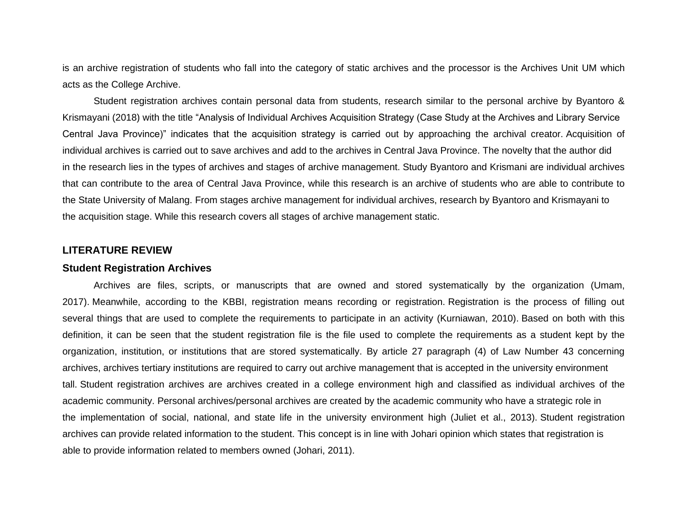is an archive registration of students who fall into the category of static archives and the processor is the Archives Unit UM which acts as the College Archive.

Student registration archives contain personal data from students, research similar to the personal archive by Byantoro & Krismayani (2018) with the title "Analysis of Individual Archives Acquisition Strategy (Case Study at the Archives and Library Service Central Java Province)" indicates that the acquisition strategy is carried out by approaching the archival creator. Acquisition of individual archives is carried out to save archives and add to the archives in Central Java Province. The novelty that the author did in the research lies in the types of archives and stages of archive management. Study Byantoro and Krismani are individual archives that can contribute to the area of Central Java Province, while this research is an archive of students who are able to contribute to the State University of Malang. From stages archive management for individual archives, research by Byantoro and Krismayani to the acquisition stage. While this research covers all stages of archive management static.

## **LITERATURE REVIEW**

#### **Student Registration Archives**

Archives are files, scripts, or manuscripts that are owned and stored systematically by the organization (Umam, 2017). Meanwhile, according to the KBBI, registration means recording or registration. Registration is the process of filling out several things that are used to complete the requirements to participate in an activity (Kurniawan, 2010). Based on both with this definition, it can be seen that the student registration file is the file used to complete the requirements as a student kept by the organization, institution, or institutions that are stored systematically. By article 27 paragraph (4) of Law Number 43 concerning archives, archives tertiary institutions are required to carry out archive management that is accepted in the university environment tall. Student registration archives are archives created in a college environment high and classified as individual archives of the academic community. Personal archives/personal archives are created by the academic community who have a strategic role in the implementation of social, national, and state life in the university environment high (Juliet et al., 2013). Student registration archives can provide related information to the student. This concept is in line with Johari opinion which states that registration is able to provide information related to members owned (Johari, 2011).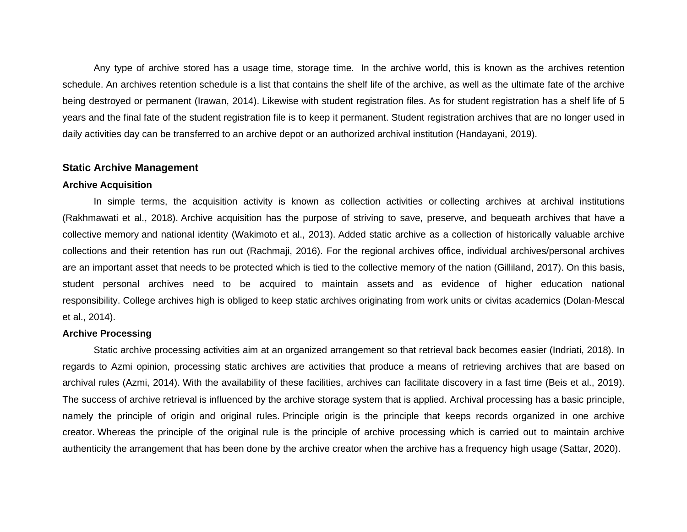Any type of archive stored has a usage time, storage time. In the archive world, this is known as the archives retention schedule. An archives retention schedule is a list that contains the shelf life of the archive, as well as the ultimate fate of the archive being destroyed or permanent (Irawan, 2014). Likewise with student registration files. As for student registration has a shelf life of 5 years and the final fate of the student registration file is to keep it permanent. Student registration archives that are no longer used in daily activities day can be transferred to an archive depot or an authorized archival institution (Handayani, 2019).

## **Static Archive Management**

#### **Archive Acquisition**

In simple terms, the acquisition activity is known as collection activities or collecting archives at archival institutions (Rakhmawati et al., 2018). Archive acquisition has the purpose of striving to save, preserve, and bequeath archives that have a collective memory and national identity (Wakimoto et al., 2013). Added static archive as a collection of historically valuable archive collections and their retention has run out (Rachmaji, 2016). For the regional archives office, individual archives/personal archives are an important asset that needs to be protected which is tied to the collective memory of the nation (Gilliland, 2017). On this basis, student personal archives need to be acquired to maintain assets and as evidence of higher education national responsibility. College archives high is obliged to keep static archives originating from work units or civitas academics (Dolan-Mescal et al., 2014).

#### **Archive Processing**

Static archive processing activities aim at an organized arrangement so that retrieval back becomes easier (Indriati, 2018). In regards to Azmi opinion, processing static archives are activities that produce a means of retrieving archives that are based on archival rules (Azmi, 2014). With the availability of these facilities, archives can facilitate discovery in a fast time (Beis et al., 2019). The success of archive retrieval is influenced by the archive storage system that is applied. Archival processing has a basic principle, namely the principle of origin and original rules. Principle origin is the principle that keeps records organized in one archive creator. Whereas the principle of the original rule is the principle of archive processing which is carried out to maintain archive authenticity the arrangement that has been done by the archive creator when the archive has a frequency high usage (Sattar, 2020).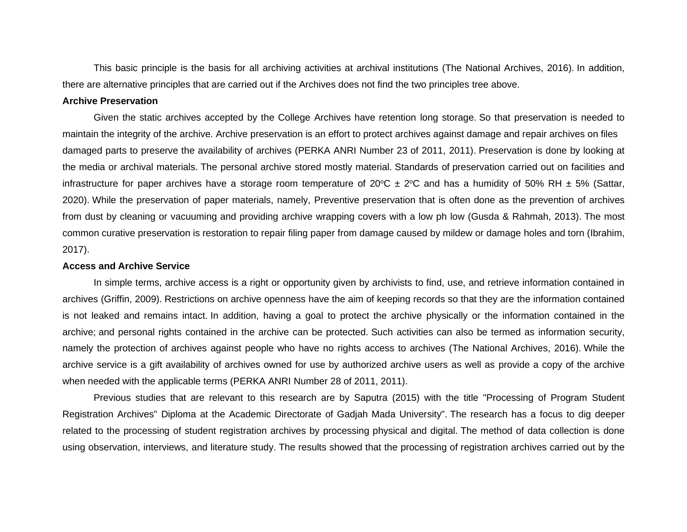This basic principle is the basis for all archiving activities at archival institutions (The National Archives, 2016). In addition, there are alternative principles that are carried out if the Archives does not find the two principles tree above.

#### **Archive Preservation**

Given the static archives accepted by the College Archives have retention long storage. So that preservation is needed to maintain the integrity of the archive. Archive preservation is an effort to protect archives against damage and repair archives on files damaged parts to preserve the availability of archives (PERKA ANRI Number 23 of 2011, 2011). Preservation is done by looking at the media or archival materials. The personal archive stored mostly material. Standards of preservation carried out on facilities and infrastructure for paper archives have a storage room temperature of  $20^{\circ}C \pm 2^{\circ}C$  and has a humidity of 50% RH  $\pm$  5% (Sattar, 2020). While the preservation of paper materials, namely, Preventive preservation that is often done as the prevention of archives from dust by cleaning or vacuuming and providing archive wrapping covers with a low ph low (Gusda & Rahmah, 2013). The most common curative preservation is restoration to repair filing paper from damage caused by mildew or damage holes and torn (Ibrahim, 2017).

#### **Access and Archive Service**

In simple terms, archive access is a right or opportunity given by archivists to find, use, and retrieve information contained in archives (Griffin, 2009). Restrictions on archive openness have the aim of keeping records so that they are the information contained is not leaked and remains intact. In addition, having a goal to protect the archive physically or the information contained in the archive; and personal rights contained in the archive can be protected. Such activities can also be termed as information security, namely the protection of archives against people who have no rights access to archives (The National Archives, 2016). While the archive service is a gift availability of archives owned for use by authorized archive users as well as provide a copy of the archive when needed with the applicable terms (PERKA ANRI Number 28 of 2011, 2011).

Previous studies that are relevant to this research are by Saputra (2015) with the title "Processing of Program Student Registration Archives" Diploma at the Academic Directorate of Gadjah Mada University". The research has a focus to dig deeper related to the processing of student registration archives by processing physical and digital. The method of data collection is done using observation, interviews, and literature study. The results showed that the processing of registration archives carried out by the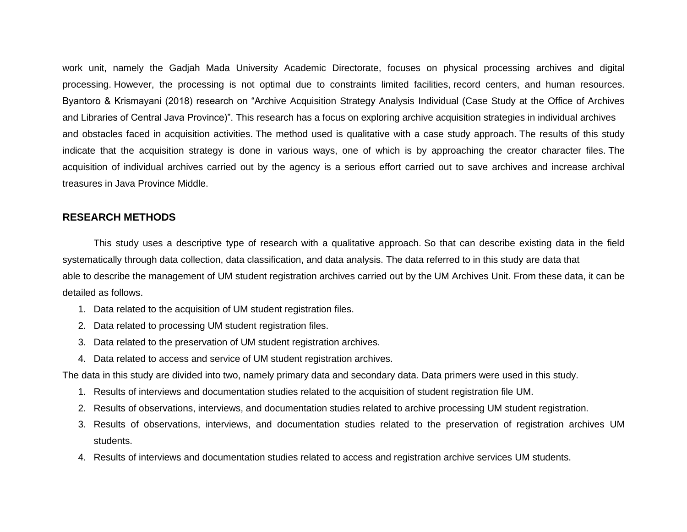work unit, namely the Gadjah Mada University Academic Directorate, focuses on physical processing archives and digital processing. However, the processing is not optimal due to constraints limited facilities, record centers, and human resources. Byantoro & Krismayani (2018) research on "Archive Acquisition Strategy Analysis Individual (Case Study at the Office of Archives and Libraries of Central Java Province)". This research has a focus on exploring archive acquisition strategies in individual archives and obstacles faced in acquisition activities. The method used is qualitative with a case study approach. The results of this study indicate that the acquisition strategy is done in various ways, one of which is by approaching the creator character files. The acquisition of individual archives carried out by the agency is a serious effort carried out to save archives and increase archival treasures in Java Province Middle.

## **RESEARCH METHODS**

This study uses a descriptive type of research with a qualitative approach. So that can describe existing data in the field systematically through data collection, data classification, and data analysis. The data referred to in this study are data that able to describe the management of UM student registration archives carried out by the UM Archives Unit. From these data, it can be detailed as follows.

- 1. Data related to the acquisition of UM student registration files.
- 2. Data related to processing UM student registration files.
- 3. Data related to the preservation of UM student registration archives.
- 4. Data related to access and service of UM student registration archives.

The data in this study are divided into two, namely primary data and secondary data. Data primers were used in this study.

- 1. Results of interviews and documentation studies related to the acquisition of student registration file UM.
- 2. Results of observations, interviews, and documentation studies related to archive processing UM student registration.
- 3. Results of observations, interviews, and documentation studies related to the preservation of registration archives UM students.
- 4. Results of interviews and documentation studies related to access and registration archive services UM students.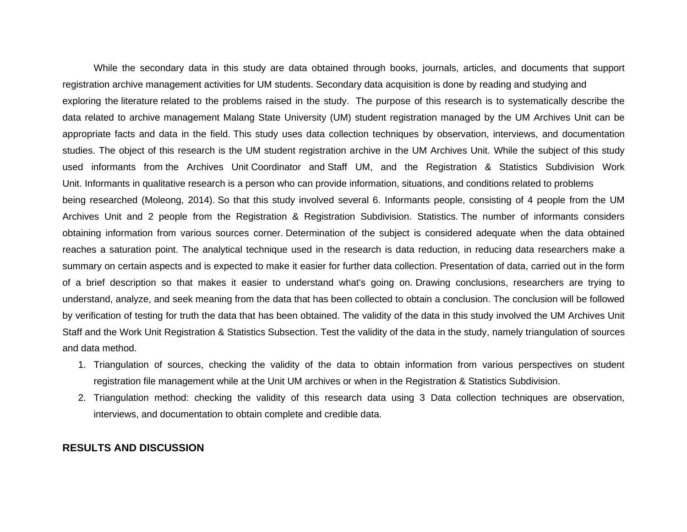While the secondary data in this study are data obtained through books, journals, articles, and documents that support registration archive management activities for UM students. Secondary data acquisition is done by reading and studying and exploring the literature related to the problems raised in the study. The purpose of this research is to systematically describe the data related to archive management Malang State University (UM) student registration managed by the UM Archives Unit can be appropriate facts and data in the field. This study uses data collection techniques by observation, interviews, and documentation studies. The object of this research is the UM student registration archive in the UM Archives Unit. While the subject of this study used informants from the Archives Unit Coordinator and Staff UM, and the Registration & Statistics Subdivision Work Unit. Informants in qualitative research is a person who can provide information, situations, and conditions related to problems being researched (Moleong, 2014). So that this study involved several 6. Informants people, consisting of 4 people from the UM Archives Unit and 2 people from the Registration & Registration Subdivision. Statistics. The number of informants considers obtaining information from various sources corner. Determination of the subject is considered adequate when the data obtained reaches a saturation point. The analytical technique used in the research is data reduction, in reducing data researchers make a summary on certain aspects and is expected to make it easier for further data collection. Presentation of data, carried out in the form of a brief description so that makes it easier to understand what's going on. Drawing conclusions, researchers are trying to understand, analyze, and seek meaning from the data that has been collected to obtain a conclusion. The conclusion will be followed by verification of testing for truth the data that has been obtained. The validity of the data in this study involved the UM Archives Unit Staff and the Work Unit Registration & Statistics Subsection. Test the validity of the data in the study, namely triangulation of sources and data method.

- 1. Triangulation of sources, checking the validity of the data to obtain information from various perspectives on student registration file management while at the Unit UM archives or when in the Registration & Statistics Subdivision.
- 2. Triangulation method: checking the validity of this research data using 3 Data collection techniques are observation, interviews, and documentation to obtain complete and credible data.

## **RESULTS AND DISCUSSION**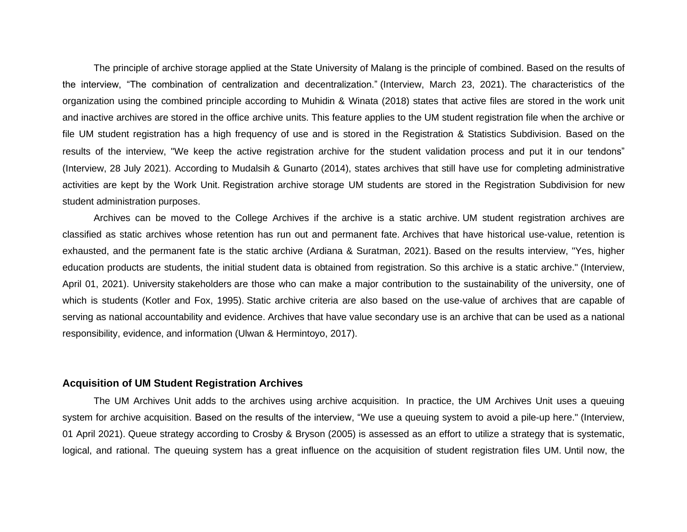The principle of archive storage applied at the State University of Malang is the principle of combined. Based on the results of the interview, "The combination of centralization and decentralization." (Interview, March 23, 2021). The characteristics of the organization using the combined principle according to Muhidin & Winata (2018) states that active files are stored in the work unit and inactive archives are stored in the office archive units. This feature applies to the UM student registration file when the archive or file UM student registration has a high frequency of use and is stored in the Registration & Statistics Subdivision. Based on the results of the interview, "We keep the active registration archive for the student validation process and put it in our tendons" (Interview, 28 July 2021). According to Mudalsih & Gunarto (2014), states archives that still have use for completing administrative activities are kept by the Work Unit. Registration archive storage UM students are stored in the Registration Subdivision for new student administration purposes.

Archives can be moved to the College Archives if the archive is a static archive. UM student registration archives are classified as static archives whose retention has run out and permanent fate. Archives that have historical use-value, retention is exhausted, and the permanent fate is the static archive (Ardiana & Suratman, 2021). Based on the results interview, "Yes, higher education products are students, the initial student data is obtained from registration. So this archive is a static archive." (Interview, April 01, 2021). University stakeholders are those who can make a major contribution to the sustainability of the university, one of which is students (Kotler and Fox, 1995). Static archive criteria are also based on the use-value of archives that are capable of serving as national accountability and evidence. Archives that have value secondary use is an archive that can be used as a national responsibility, evidence, and information (Ulwan & Hermintoyo, 2017).

#### **Acquisition of UM Student Registration Archives**

The UM Archives Unit adds to the archives using archive acquisition. In practice, the UM Archives Unit uses a queuing system for archive acquisition. Based on the results of the interview, "We use a queuing system to avoid a pile-up here." (Interview, 01 April 2021). Queue strategy according to Crosby & Bryson (2005) is assessed as an effort to utilize a strategy that is systematic, logical, and rational. The queuing system has a great influence on the acquisition of student registration files UM. Until now, the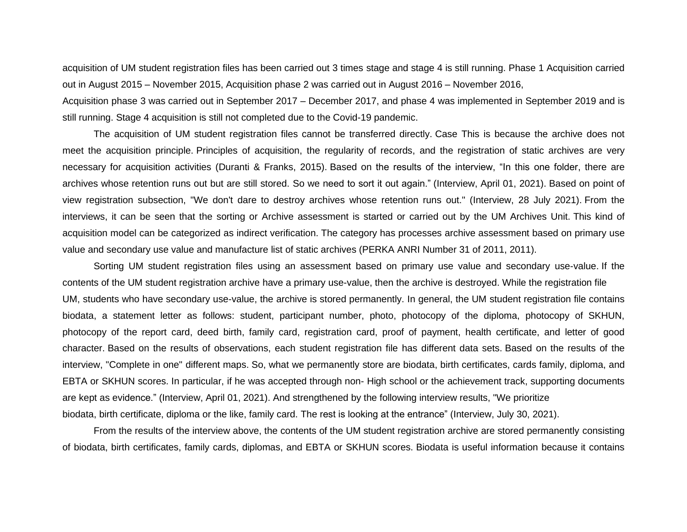acquisition of UM student registration files has been carried out 3 times stage and stage 4 is still running. Phase 1 Acquisition carried out in August 2015 – November 2015, Acquisition phase 2 was carried out in August 2016 – November 2016,

Acquisition phase 3 was carried out in September 2017 – December 2017, and phase 4 was implemented in September 2019 and is still running. Stage 4 acquisition is still not completed due to the Covid-19 pandemic.

The acquisition of UM student registration files cannot be transferred directly. Case This is because the archive does not meet the acquisition principle. Principles of acquisition, the regularity of records, and the registration of static archives are very necessary for acquisition activities (Duranti & Franks, 2015). Based on the results of the interview, "In this one folder, there are archives whose retention runs out but are still stored. So we need to sort it out again." (Interview, April 01, 2021). Based on point of view registration subsection, "We don't dare to destroy archives whose retention runs out." (Interview, 28 July 2021). From the interviews, it can be seen that the sorting or Archive assessment is started or carried out by the UM Archives Unit. This kind of acquisition model can be categorized as indirect verification. The category has processes archive assessment based on primary use value and secondary use value and manufacture list of static archives (PERKA ANRI Number 31 of 2011, 2011).

Sorting UM student registration files using an assessment based on primary use value and secondary use-value. If the contents of the UM student registration archive have a primary use-value, then the archive is destroyed. While the registration file UM, students who have secondary use-value, the archive is stored permanently. In general, the UM student registration file contains biodata, a statement letter as follows: student, participant number, photo, photocopy of the diploma, photocopy of SKHUN, photocopy of the report card, deed birth, family card, registration card, proof of payment, health certificate, and letter of good character. Based on the results of observations, each student registration file has different data sets. Based on the results of the interview, "Complete in one" different maps. So, what we permanently store are biodata, birth certificates, cards family, diploma, and EBTA or SKHUN scores. In particular, if he was accepted through non- High school or the achievement track, supporting documents are kept as evidence." (Interview, April 01, 2021). And strengthened by the following interview results, "We prioritize biodata, birth certificate, diploma or the like, family card. The rest is looking at the entrance" (Interview, July 30, 2021).

From the results of the interview above, the contents of the UM student registration archive are stored permanently consisting of biodata, birth certificates, family cards, diplomas, and EBTA or SKHUN scores. Biodata is useful information because it contains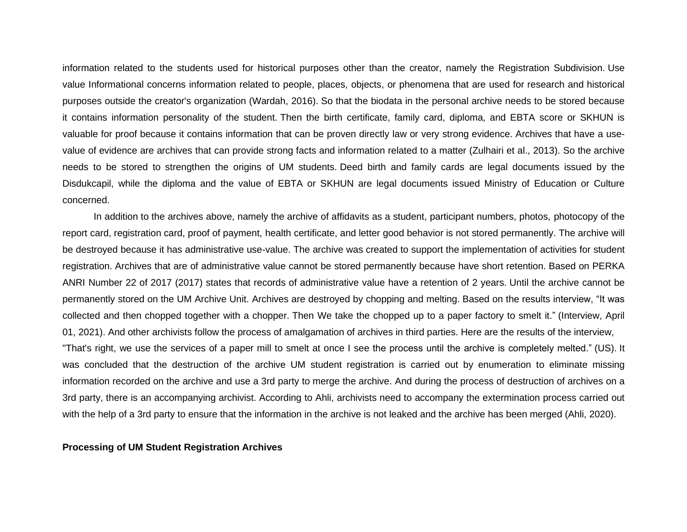information related to the students used for historical purposes other than the creator, namely the Registration Subdivision. Use value Informational concerns information related to people, places, objects, or phenomena that are used for research and historical purposes outside the creator's organization (Wardah, 2016). So that the biodata in the personal archive needs to be stored because it contains information personality of the student. Then the birth certificate, family card, diploma, and EBTA score or SKHUN is valuable for proof because it contains information that can be proven directly law or very strong evidence. Archives that have a usevalue of evidence are archives that can provide strong facts and information related to a matter (Zulhairi et al., 2013). So the archive needs to be stored to strengthen the origins of UM students. Deed birth and family cards are legal documents issued by the Disdukcapil, while the diploma and the value of EBTA or SKHUN are legal documents issued Ministry of Education or Culture concerned.

In addition to the archives above, namely the archive of affidavits as a student, participant numbers, photos, photocopy of the report card, registration card, proof of payment, health certificate, and letter good behavior is not stored permanently. The archive will be destroyed because it has administrative use-value. The archive was created to support the implementation of activities for student registration. Archives that are of administrative value cannot be stored permanently because have short retention. Based on PERKA ANRI Number 22 of 2017 (2017) states that records of administrative value have a retention of 2 years. Until the archive cannot be permanently stored on the UM Archive Unit. Archives are destroyed by chopping and melting. Based on the results interview, "It was collected and then chopped together with a chopper. Then We take the chopped up to a paper factory to smelt it." (Interview, April 01, 2021). And other archivists follow the process of amalgamation of archives in third parties. Here are the results of the interview, "That's right, we use the services of a paper mill to smelt at once I see the process until the archive is completely melted." (US). It was concluded that the destruction of the archive UM student registration is carried out by enumeration to eliminate missing information recorded on the archive and use a 3rd party to merge the archive. And during the process of destruction of archives on a 3rd party, there is an accompanying archivist. According to Ahli, archivists need to accompany the extermination process carried out with the help of a 3rd party to ensure that the information in the archive is not leaked and the archive has been merged (Ahli, 2020).

#### **Processing of UM Student Registration Archives**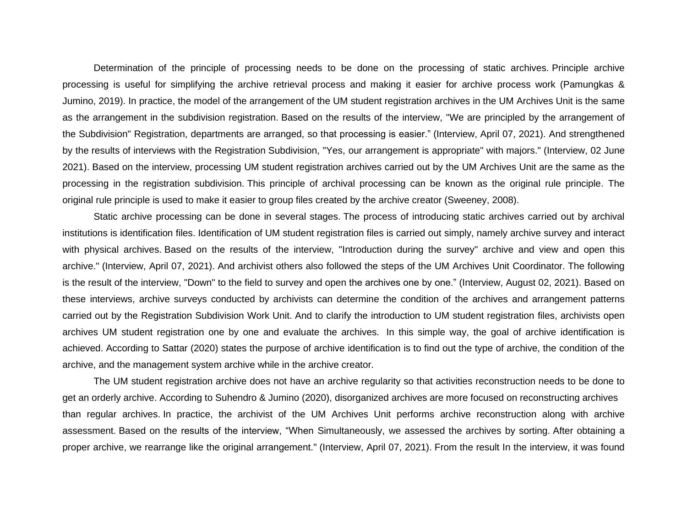Determination of the principle of processing needs to be done on the processing of static archives. Principle archive processing is useful for simplifying the archive retrieval process and making it easier for archive process work (Pamungkas & Jumino, 2019). In practice, the model of the arrangement of the UM student registration archives in the UM Archives Unit is the same as the arrangement in the subdivision registration. Based on the results of the interview, "We are principled by the arrangement of the Subdivision" Registration, departments are arranged, so that processing is easier." (Interview, April 07, 2021). And strengthened by the results of interviews with the Registration Subdivision, "Yes, our arrangement is appropriate" with majors." (Interview, 02 June 2021). Based on the interview, processing UM student registration archives carried out by the UM Archives Unit are the same as the processing in the registration subdivision. This principle of archival processing can be known as the original rule principle. The original rule principle is used to make it easier to group files created by the archive creator (Sweeney, 2008).

Static archive processing can be done in several stages. The process of introducing static archives carried out by archival institutions is identification files. Identification of UM student registration files is carried out simply, namely archive survey and interact with physical archives. Based on the results of the interview, "Introduction during the survey" archive and view and open this archive." (Interview, April 07, 2021). And archivist others also followed the steps of the UM Archives Unit Coordinator. The following is the result of the interview, "Down" to the field to survey and open the archives one by one." (Interview, August 02, 2021). Based on these interviews, archive surveys conducted by archivists can determine the condition of the archives and arrangement patterns carried out by the Registration Subdivision Work Unit. And to clarify the introduction to UM student registration files, archivists open archives UM student registration one by one and evaluate the archives. In this simple way, the goal of archive identification is achieved. According to Sattar (2020) states the purpose of archive identification is to find out the type of archive, the condition of the archive, and the management system archive while in the archive creator.

The UM student registration archive does not have an archive regularity so that activities reconstruction needs to be done to get an orderly archive. According to Suhendro & Jumino (2020), disorganized archives are more focused on reconstructing archives than regular archives. In practice, the archivist of the UM Archives Unit performs archive reconstruction along with archive assessment. Based on the results of the interview, "When Simultaneously, we assessed the archives by sorting. After obtaining a proper archive, we rearrange like the original arrangement." (Interview, April 07, 2021). From the result In the interview, it was found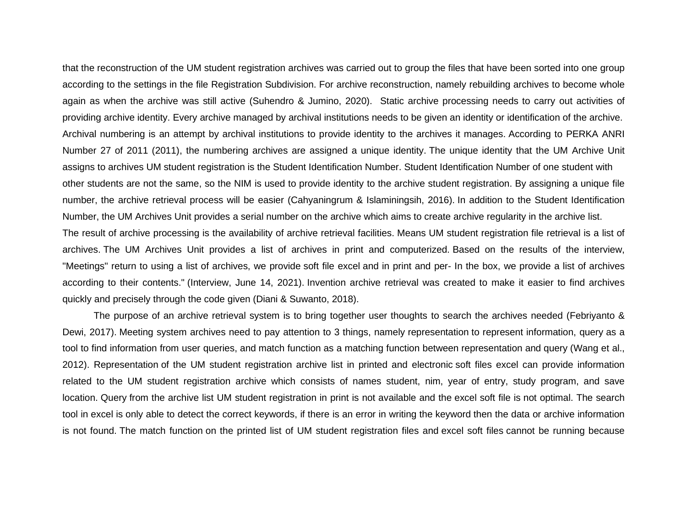that the reconstruction of the UM student registration archives was carried out to group the files that have been sorted into one group according to the settings in the file Registration Subdivision. For archive reconstruction, namely rebuilding archives to become whole again as when the archive was still active (Suhendro & Jumino, 2020). Static archive processing needs to carry out activities of providing archive identity. Every archive managed by archival institutions needs to be given an identity or identification of the archive. Archival numbering is an attempt by archival institutions to provide identity to the archives it manages. According to PERKA ANRI Number 27 of 2011 (2011), the numbering archives are assigned a unique identity. The unique identity that the UM Archive Unit assigns to archives UM student registration is the Student Identification Number. Student Identification Number of one student with other students are not the same, so the NIM is used to provide identity to the archive student registration. By assigning a unique file number, the archive retrieval process will be easier (Cahyaningrum & Islaminingsih, 2016). In addition to the Student Identification Number, the UM Archives Unit provides a serial number on the archive which aims to create archive regularity in the archive list. The result of archive processing is the availability of archive retrieval facilities. Means UM student registration file retrieval is a list of archives. The UM Archives Unit provides a list of archives in print and computerized. Based on the results of the interview, "Meetings" return to using a list of archives, we provide soft file excel and in print and per- In the box, we provide a list of archives according to their contents." (Interview, June 14, 2021). Invention archive retrieval was created to make it easier to find archives quickly and precisely through the code given (Diani & Suwanto, 2018).

The purpose of an archive retrieval system is to bring together user thoughts to search the archives needed (Febriyanto & Dewi, 2017). Meeting system archives need to pay attention to 3 things, namely representation to represent information, query as a tool to find information from user queries, and match function as a matching function between representation and query (Wang et al., 2012). Representation of the UM student registration archive list in printed and electronic soft files excel can provide information related to the UM student registration archive which consists of names student, nim, year of entry, study program, and save location. Query from the archive list UM student registration in print is not available and the excel soft file is not optimal. The search tool in excel is only able to detect the correct keywords, if there is an error in writing the keyword then the data or archive information is not found. The match function on the printed list of UM student registration files and excel soft files cannot be running because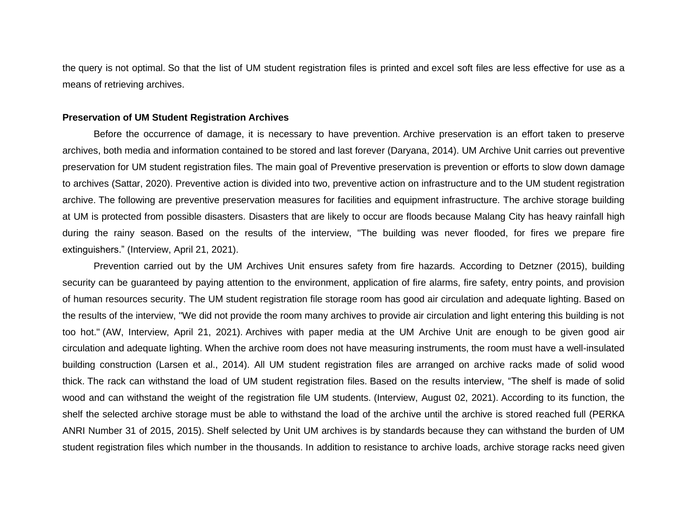the query is not optimal. So that the list of UM student registration files is printed and excel soft files are less effective for use as a means of retrieving archives.

#### **Preservation of UM Student Registration Archives**

Before the occurrence of damage, it is necessary to have prevention. Archive preservation is an effort taken to preserve archives, both media and information contained to be stored and last forever (Daryana, 2014). UM Archive Unit carries out preventive preservation for UM student registration files. The main goal of Preventive preservation is prevention or efforts to slow down damage to archives (Sattar, 2020). Preventive action is divided into two, preventive action on infrastructure and to the UM student registration archive. The following are preventive preservation measures for facilities and equipment infrastructure. The archive storage building at UM is protected from possible disasters. Disasters that are likely to occur are floods because Malang City has heavy rainfall high during the rainy season. Based on the results of the interview, "The building was never flooded, for fires we prepare fire extinguishers." (Interview, April 21, 2021).

Prevention carried out by the UM Archives Unit ensures safety from fire hazards. According to Detzner (2015), building security can be guaranteed by paying attention to the environment, application of fire alarms, fire safety, entry points, and provision of human resources security. The UM student registration file storage room has good air circulation and adequate lighting. Based on the results of the interview, "We did not provide the room many archives to provide air circulation and light entering this building is not too hot." (AW, Interview, April 21, 2021). Archives with paper media at the UM Archive Unit are enough to be given good air circulation and adequate lighting. When the archive room does not have measuring instruments, the room must have a well-insulated building construction (Larsen et al., 2014). All UM student registration files are arranged on archive racks made of solid wood thick. The rack can withstand the load of UM student registration files. Based on the results interview, "The shelf is made of solid wood and can withstand the weight of the registration file UM students. (Interview, August 02, 2021). According to its function, the shelf the selected archive storage must be able to withstand the load of the archive until the archive is stored reached full (PERKA ANRI Number 31 of 2015, 2015). Shelf selected by Unit UM archives is by standards because they can withstand the burden of UM student registration files which number in the thousands. In addition to resistance to archive loads, archive storage racks need given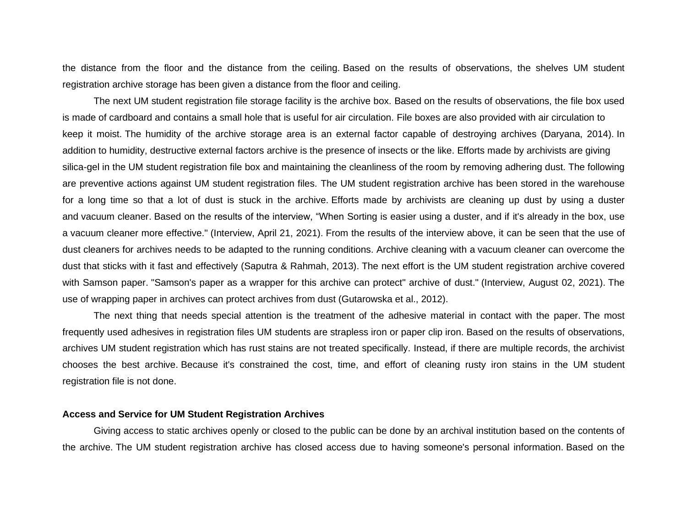the distance from the floor and the distance from the ceiling. Based on the results of observations, the shelves UM student registration archive storage has been given a distance from the floor and ceiling.

The next UM student registration file storage facility is the archive box. Based on the results of observations, the file box used is made of cardboard and contains a small hole that is useful for air circulation. File boxes are also provided with air circulation to keep it moist. The humidity of the archive storage area is an external factor capable of destroying archives (Daryana, 2014). In addition to humidity, destructive external factors archive is the presence of insects or the like. Efforts made by archivists are giving silica-gel in the UM student registration file box and maintaining the cleanliness of the room by removing adhering dust. The following are preventive actions against UM student registration files. The UM student registration archive has been stored in the warehouse for a long time so that a lot of dust is stuck in the archive. Efforts made by archivists are cleaning up dust by using a duster and vacuum cleaner. Based on the results of the interview, "When Sorting is easier using a duster, and if it's already in the box, use a vacuum cleaner more effective." (Interview, April 21, 2021). From the results of the interview above, it can be seen that the use of dust cleaners for archives needs to be adapted to the running conditions. Archive cleaning with a vacuum cleaner can overcome the dust that sticks with it fast and effectively (Saputra & Rahmah, 2013). The next effort is the UM student registration archive covered with Samson paper. "Samson's paper as a wrapper for this archive can protect" archive of dust." (Interview, August 02, 2021). The use of wrapping paper in archives can protect archives from dust (Gutarowska et al., 2012).

The next thing that needs special attention is the treatment of the adhesive material in contact with the paper. The most frequently used adhesives in registration files UM students are strapless iron or paper clip iron. Based on the results of observations, archives UM student registration which has rust stains are not treated specifically. Instead, if there are multiple records, the archivist chooses the best archive. Because it's constrained the cost, time, and effort of cleaning rusty iron stains in the UM student registration file is not done.

#### **Access and Service for UM Student Registration Archives**

Giving access to static archives openly or closed to the public can be done by an archival institution based on the contents of the archive. The UM student registration archive has closed access due to having someone's personal information. Based on the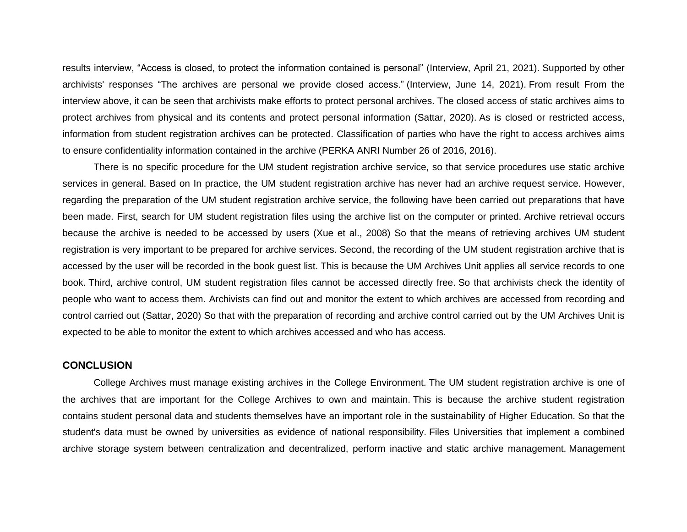results interview, "Access is closed, to protect the information contained is personal" (Interview, April 21, 2021). Supported by other archivists' responses "The archives are personal we provide closed access." (Interview, June 14, 2021). From result From the interview above, it can be seen that archivists make efforts to protect personal archives. The closed access of static archives aims to protect archives from physical and its contents and protect personal information (Sattar, 2020). As is closed or restricted access, information from student registration archives can be protected. Classification of parties who have the right to access archives aims to ensure confidentiality information contained in the archive (PERKA ANRI Number 26 of 2016, 2016).

There is no specific procedure for the UM student registration archive service, so that service procedures use static archive services in general. Based on In practice, the UM student registration archive has never had an archive request service. However, regarding the preparation of the UM student registration archive service, the following have been carried out preparations that have been made. First, search for UM student registration files using the archive list on the computer or printed. Archive retrieval occurs because the archive is needed to be accessed by users (Xue et al., 2008) So that the means of retrieving archives UM student registration is very important to be prepared for archive services. Second, the recording of the UM student registration archive that is accessed by the user will be recorded in the book guest list. This is because the UM Archives Unit applies all service records to one book. Third, archive control, UM student registration files cannot be accessed directly free. So that archivists check the identity of people who want to access them. Archivists can find out and monitor the extent to which archives are accessed from recording and control carried out (Sattar, 2020) So that with the preparation of recording and archive control carried out by the UM Archives Unit is expected to be able to monitor the extent to which archives accessed and who has access.

## **CONCLUSION**

College Archives must manage existing archives in the College Environment. The UM student registration archive is one of the archives that are important for the College Archives to own and maintain. This is because the archive student registration contains student personal data and students themselves have an important role in the sustainability of Higher Education. So that the student's data must be owned by universities as evidence of national responsibility. Files Universities that implement a combined archive storage system between centralization and decentralized, perform inactive and static archive management. Management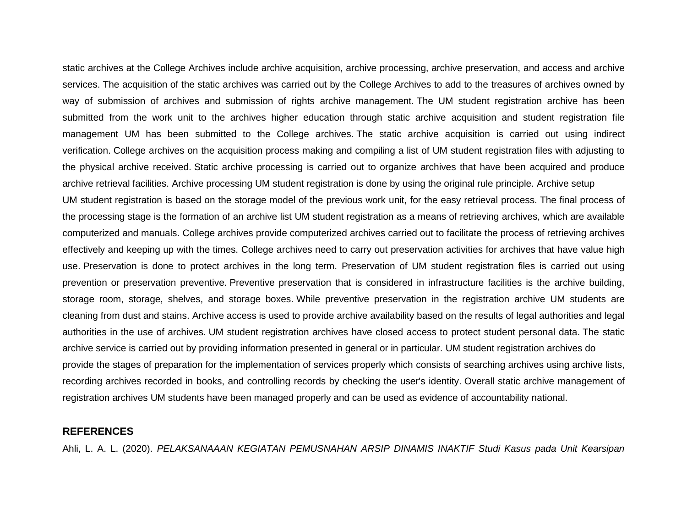static archives at the College Archives include archive acquisition, archive processing, archive preservation, and access and archive services. The acquisition of the static archives was carried out by the College Archives to add to the treasures of archives owned by way of submission of archives and submission of rights archive management. The UM student registration archive has been submitted from the work unit to the archives higher education through static archive acquisition and student registration file management UM has been submitted to the College archives. The static archive acquisition is carried out using indirect verification. College archives on the acquisition process making and compiling a list of UM student registration files with adjusting to the physical archive received. Static archive processing is carried out to organize archives that have been acquired and produce archive retrieval facilities. Archive processing UM student registration is done by using the original rule principle. Archive setup

UM student registration is based on the storage model of the previous work unit, for the easy retrieval process. The final process of the processing stage is the formation of an archive list UM student registration as a means of retrieving archives, which are available computerized and manuals. College archives provide computerized archives carried out to facilitate the process of retrieving archives effectively and keeping up with the times. College archives need to carry out preservation activities for archives that have value high use. Preservation is done to protect archives in the long term. Preservation of UM student registration files is carried out using prevention or preservation preventive. Preventive preservation that is considered in infrastructure facilities is the archive building, storage room, storage, shelves, and storage boxes. While preventive preservation in the registration archive UM students are cleaning from dust and stains. Archive access is used to provide archive availability based on the results of legal authorities and legal authorities in the use of archives. UM student registration archives have closed access to protect student personal data. The static archive service is carried out by providing information presented in general or in particular. UM student registration archives do provide the stages of preparation for the implementation of services properly which consists of searching archives using archive lists, recording archives recorded in books, and controlling records by checking the user's identity. Overall static archive management of registration archives UM students have been managed properly and can be used as evidence of accountability national.

## **REFERENCES**

Ahli, L. A. L. (2020). *PELAKSANAAAN KEGIATAN PEMUSNAHAN ARSIP DINAMIS INAKTIF Studi Kasus pada Unit Kearsipan*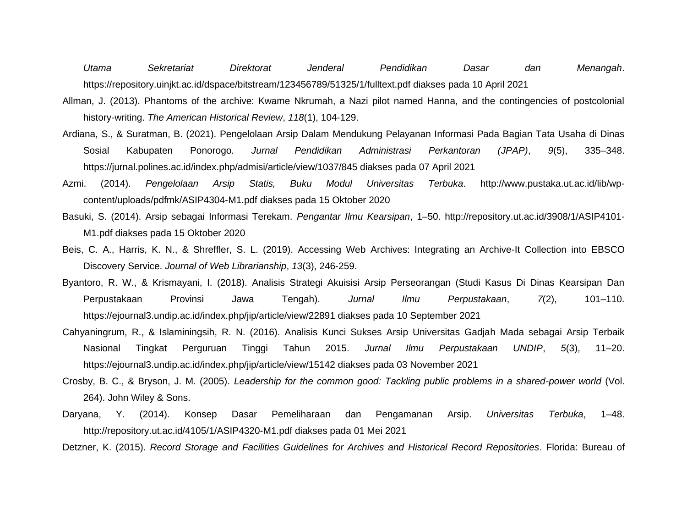*Utama Sekretariat Direktorat Jenderal Pendidikan Dasar dan Menangah*. https://repository.uinjkt.ac.id/dspace/bitstream/123456789/51325/1/fulltext.pdf diakses pada 10 April 2021

- Allman, J. (2013). Phantoms of the archive: Kwame Nkrumah, a Nazi pilot named Hanna, and the contingencies of postcolonial history-writing. *The American Historical Review*, *118*(1), 104-129.
- Ardiana, S., & Suratman, B. (2021). Pengelolaan Arsip Dalam Mendukung Pelayanan Informasi Pada Bagian Tata Usaha di Dinas Sosial Kabupaten Ponorogo. *Jurnal Pendidikan Administrasi Perkantoran (JPAP)*, *9*(5), 335–348. https://jurnal.polines.ac.id/index.php/admisi/article/view/1037/845 diakses pada 07 April 2021
- Azmi. (2014). *Pengelolaan Arsip Statis, Buku Modul Universitas Terbuka*. http://www.pustaka.ut.ac.id/lib/wpcontent/uploads/pdfmk/ASIP4304-M1.pdf diakses pada 15 Oktober 2020
- Basuki, S. (2014). Arsip sebagai Informasi Terekam. *Pengantar Ilmu Kearsipan*, 1–50. http://repository.ut.ac.id/3908/1/ASIP4101- M1.pdf diakses pada 15 Oktober 2020
- Beis, C. A., Harris, K. N., & Shreffler, S. L. (2019). Accessing Web Archives: Integrating an Archive-It Collection into EBSCO Discovery Service. *Journal of Web Librarianship*, *13*(3), 246-259.
- Byantoro, R. W., & Krismayani, I. (2018). Analisis Strategi Akuisisi Arsip Perseorangan (Studi Kasus Di Dinas Kearsipan Dan Perpustakaan Provinsi Jawa Tengah). *Jurnal Ilmu Perpustakaan*, *7*(2), 101–110. https://ejournal3.undip.ac.id/index.php/jip/article/view/22891 diakses pada 10 September 2021
- Cahyaningrum, R., & Islaminingsih, R. N. (2016). Analisis Kunci Sukses Arsip Universitas Gadjah Mada sebagai Arsip Terbaik Nasional Tingkat Perguruan Tinggi Tahun 2015. *Jurnal Ilmu Perpustakaan UNDIP*, *5*(3), 11–20. https://ejournal3.undip.ac.id/index.php/jip/article/view/15142 diakses pada 03 November 2021
- Crosby, B. C., & Bryson, J. M. (2005). *Leadership for the common good: Tackling public problems in a shared-power world* (Vol. 264). John Wiley & Sons.
- Daryana, Y. (2014). Konsep Dasar Pemeliharaan dan Pengamanan Arsip. *Universitas Terbuka*, 1–48. http://repository.ut.ac.id/4105/1/ASIP4320-M1.pdf diakses pada 01 Mei 2021
- Detzner, K. (2015). *Record Storage and Facilities Guidelines for Archives and Historical Record Repositories*. Florida: Bureau of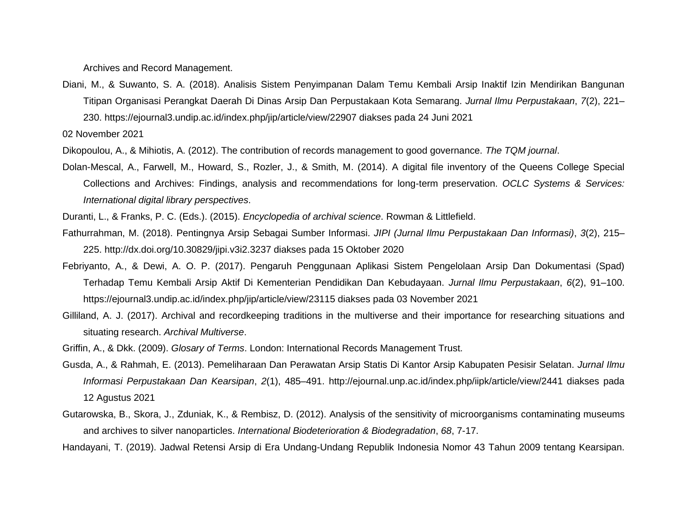Archives and Record Management.

Diani, M., & Suwanto, S. A. (2018). Analisis Sistem Penyimpanan Dalam Temu Kembali Arsip Inaktif Izin Mendirikan Bangunan Titipan Organisasi Perangkat Daerah Di Dinas Arsip Dan Perpustakaan Kota Semarang. *Jurnal Ilmu Perpustakaan*, *7*(2), 221– 230. https://ejournal3.undip.ac.id/index.php/jip/article/view/22907 diakses pada 24 Juni 2021

02 November 2021

Dikopoulou, A., & Mihiotis, A. (2012). The contribution of records management to good governance. *The TQM journal*.

Dolan-Mescal, A., Farwell, M., Howard, S., Rozler, J., & Smith, M. (2014). A digital file inventory of the Queens College Special Collections and Archives: Findings, analysis and recommendations for long-term preservation. *OCLC Systems & Services: International digital library perspectives*.

Duranti, L., & Franks, P. C. (Eds.). (2015). *Encyclopedia of archival science*. Rowman & Littlefield.

- Fathurrahman, M. (2018). Pentingnya Arsip Sebagai Sumber Informasi. *JIPI (Jurnal Ilmu Perpustakaan Dan Informasi)*, *3*(2), 215– 225. http://dx.doi.org/10.30829/jipi.v3i2.3237 diakses pada 15 Oktober 2020
- Febriyanto, A., & Dewi, A. O. P. (2017). Pengaruh Penggunaan Aplikasi Sistem Pengelolaan Arsip Dan Dokumentasi (Spad) Terhadap Temu Kembali Arsip Aktif Di Kementerian Pendidikan Dan Kebudayaan. *Jurnal Ilmu Perpustakaan*, *6*(2), 91–100. https://ejournal3.undip.ac.id/index.php/jip/article/view/23115 diakses pada 03 November 2021
- Gilliland, A. J. (2017). Archival and recordkeeping traditions in the multiverse and their importance for researching situations and situating research. *Archival Multiverse*.
- Griffin, A., & Dkk. (2009). *Glosary of Terms*. London: International Records Management Trust.
- Gusda, A., & Rahmah, E. (2013). Pemeliharaan Dan Perawatan Arsip Statis Di Kantor Arsip Kabupaten Pesisir Selatan. *Jurnal Ilmu Informasi Perpustakaan Dan Kearsipan*, *2*(1), 485–491. http://ejournal.unp.ac.id/index.php/iipk/article/view/2441 diakses pada 12 Agustus 2021
- Gutarowska, B., Skora, J., Zduniak, K., & Rembisz, D. (2012). Analysis of the sensitivity of microorganisms contaminating museums and archives to silver nanoparticles. *International Biodeterioration & Biodegradation*, *68*, 7-17.

Handayani, T. (2019). Jadwal Retensi Arsip di Era Undang-Undang Republik Indonesia Nomor 43 Tahun 2009 tentang Kearsipan.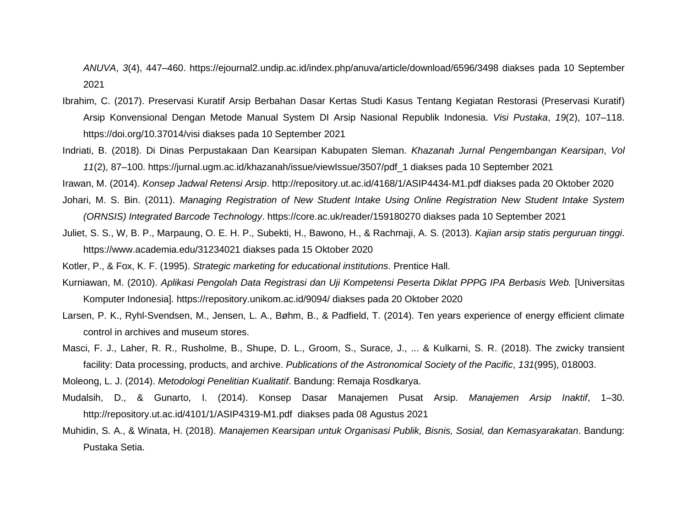*ANUVA*, *3*(4), 447–460. https://ejournal2.undip.ac.id/index.php/anuva/article/download/6596/3498 diakses pada 10 September 2021

- Ibrahim, C. (2017). Preservasi Kuratif Arsip Berbahan Dasar Kertas Studi Kasus Tentang Kegiatan Restorasi (Preservasi Kuratif) Arsip Konvensional Dengan Metode Manual System DI Arsip Nasional Republik Indonesia. *Visi Pustaka*, *19*(2), 107–118. https://doi.org/10.37014/visi diakses pada 10 September 2021
- Indriati, B. (2018). Di Dinas Perpustakaan Dan Kearsipan Kabupaten Sleman. *Khazanah Jurnal Pengembangan Kearsipan*, *Vol 11*(2), 87–100. https://jurnal.ugm.ac.id/khazanah/issue/viewIssue/3507/pdf\_1 diakses pada 10 September 2021

Irawan, M. (2014). *Konsep Jadwal Retensi Arsip*. http://repository.ut.ac.id/4168/1/ASIP4434-M1.pdf diakses pada 20 Oktober 2020

- Johari, M. S. Bin. (2011). *Managing Registration of New Student Intake Using Online Registration New Student Intake System (ORNSIS) Integrated Barcode Technology*. https://core.ac.uk/reader/159180270 diakses pada 10 September 2021
- Juliet, S. S., W, B. P., Marpaung, O. E. H. P., Subekti, H., Bawono, H., & Rachmaji, A. S. (2013). *Kajian arsip statis perguruan tinggi*. https://www.academia.edu/31234021 diakses pada 15 Oktober 2020
- Kotler, P., & Fox, K. F. (1995). *Strategic marketing for educational institutions*. Prentice Hall.
- Kurniawan, M. (2010). *Aplikasi Pengolah Data Registrasi dan Uji Kompetensi Peserta Diklat PPPG IPA Berbasis Web.* [Universitas Komputer Indonesia]. https://repository.unikom.ac.id/9094/ diakses pada 20 Oktober 2020
- Larsen, P. K., Ryhl-Svendsen, M., Jensen, L. A., Bøhm, B., & Padfield, T. (2014). Ten years experience of energy efficient climate control in archives and museum stores.
- Masci, F. J., Laher, R. R., Rusholme, B., Shupe, D. L., Groom, S., Surace, J., ... & Kulkarni, S. R. (2018). The zwicky transient facility: Data processing, products, and archive. *Publications of the Astronomical Society of the Pacific*, *131*(995), 018003.

Moleong, L. J. (2014). *Metodologi Penelitian Kualitatif*. Bandung: Remaja Rosdkarya.

- Mudalsih, D., & Gunarto, I. (2014). Konsep Dasar Manajemen Pusat Arsip. *Manajemen Arsip Inaktif*, 1–30. http://repository.ut.ac.id/4101/1/ASIP4319-M1.pdf diakses pada 08 Agustus 2021
- Muhidin, S. A., & Winata, H. (2018). *Manajemen Kearsipan untuk Organisasi Publik, Bisnis, Sosial, dan Kemasyarakatan*. Bandung: Pustaka Setia.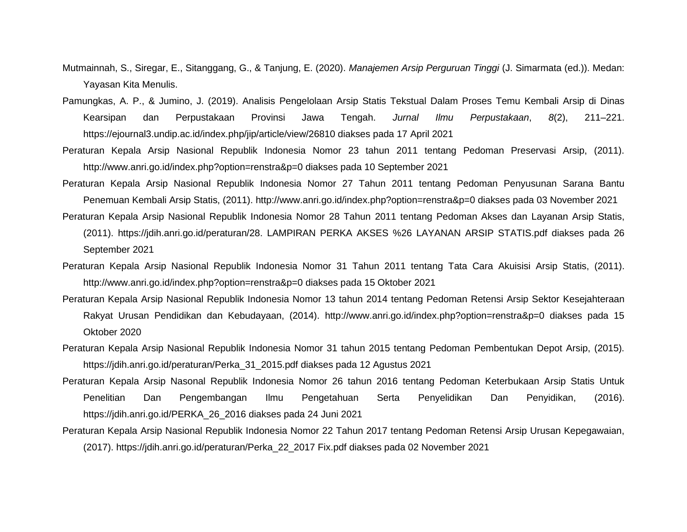- Mutmainnah, S., Siregar, E., Sitanggang, G., & Tanjung, E. (2020). *Manajemen Arsip Perguruan Tinggi* (J. Simarmata (ed.)). Medan: Yayasan Kita Menulis.
- Pamungkas, A. P., & Jumino, J. (2019). Analisis Pengelolaan Arsip Statis Tekstual Dalam Proses Temu Kembali Arsip di Dinas Kearsipan dan Perpustakaan Provinsi Jawa Tengah. *Jurnal Ilmu Perpustakaan*, *8*(2), 211–221. https://ejournal3.undip.ac.id/index.php/jip/article/view/26810 diakses pada 17 April 2021
- Peraturan Kepala Arsip Nasional Republik Indonesia Nomor 23 tahun 2011 tentang Pedoman Preservasi Arsip, (2011). http://www.anri.go.id/index.php?option=renstra&p=0 diakses pada 10 September 2021
- Peraturan Kepala Arsip Nasional Republik Indonesia Nomor 27 Tahun 2011 tentang Pedoman Penyusunan Sarana Bantu Penemuan Kembali Arsip Statis, (2011). http://www.anri.go.id/index.php?option=renstra&p=0 diakses pada 03 November 2021
- Peraturan Kepala Arsip Nasional Republik Indonesia Nomor 28 Tahun 2011 tentang Pedoman Akses dan Layanan Arsip Statis, (2011). https://jdih.anri.go.id/peraturan/28. LAMPIRAN PERKA AKSES %26 LAYANAN ARSIP STATIS.pdf diakses pada 26 September 2021
- Peraturan Kepala Arsip Nasional Republik Indonesia Nomor 31 Tahun 2011 tentang Tata Cara Akuisisi Arsip Statis, (2011). http://www.anri.go.id/index.php?option=renstra&p=0 diakses pada 15 Oktober 2021
- Peraturan Kepala Arsip Nasional Republik Indonesia Nomor 13 tahun 2014 tentang Pedoman Retensi Arsip Sektor Kesejahteraan Rakyat Urusan Pendidikan dan Kebudayaan, (2014). http://www.anri.go.id/index.php?option=renstra&p=0 diakses pada 15 Oktober 2020
- Peraturan Kepala Arsip Nasional Republik Indonesia Nomor 31 tahun 2015 tentang Pedoman Pembentukan Depot Arsip, (2015). https://jdih.anri.go.id/peraturan/Perka\_31\_2015.pdf diakses pada 12 Agustus 2021
- Peraturan Kepala Arsip Nasonal Republik Indonesia Nomor 26 tahun 2016 tentang Pedoman Keterbukaan Arsip Statis Untuk Penelitian Dan Pengembangan Ilmu Pengetahuan Serta Penyelidikan Dan Penyidikan, (2016). https://jdih.anri.go.id/PERKA\_26\_2016 diakses pada 24 Juni 2021
- Peraturan Kepala Arsip Nasional Republik Indonesia Nomor 22 Tahun 2017 tentang Pedoman Retensi Arsip Urusan Kepegawaian, (2017). https://jdih.anri.go.id/peraturan/Perka\_22\_2017 Fix.pdf diakses pada 02 November 2021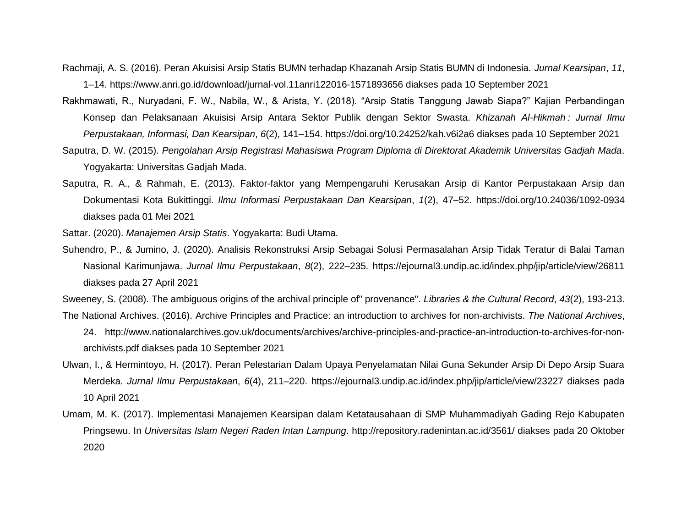- Rachmaji, A. S. (2016). Peran Akuisisi Arsip Statis BUMN terhadap Khazanah Arsip Statis BUMN di Indonesia. *Jurnal Kearsipan*, *11*, 1–14. https://www.anri.go.id/download/jurnal-vol.11anri122016-1571893656 diakses pada 10 September 2021
- Rakhmawati, R., Nuryadani, F. W., Nabila, W., & Arista, Y. (2018). "Arsip Statis Tanggung Jawab Siapa?" Kajian Perbandingan Konsep dan Pelaksanaan Akuisisi Arsip Antara Sektor Publik dengan Sektor Swasta. *Khizanah Al-Hikmah : Jurnal Ilmu Perpustakaan, Informasi, Dan Kearsipan*, *6*(2), 141–154. https://doi.org/10.24252/kah.v6i2a6 diakses pada 10 September 2021
- Saputra, D. W. (2015). *Pengolahan Arsip Registrasi Mahasiswa Program Diploma di Direktorat Akademik Universitas Gadjah Mada*. Yogyakarta: Universitas Gadjah Mada.
- Saputra, R. A., & Rahmah, E. (2013). Faktor-faktor yang Mempengaruhi Kerusakan Arsip di Kantor Perpustakaan Arsip dan Dokumentasi Kota Bukittinggi. *Ilmu Informasi Perpustakaan Dan Kearsipan*, *1*(2), 47–52. https://doi.org/10.24036/1092-0934 diakses pada 01 Mei 2021
- Sattar. (2020). *Manajemen Arsip Statis*. Yogyakarta: Budi Utama.
- Suhendro, P., & Jumino, J. (2020). Analisis Rekonstruksi Arsip Sebagai Solusi Permasalahan Arsip Tidak Teratur di Balai Taman Nasional Karimunjawa. *Jurnal Ilmu Perpustakaan*, *8*(2), 222–235. https://ejournal3.undip.ac.id/index.php/jip/article/view/26811 diakses pada 27 April 2021

Sweeney, S. (2008). The ambiguous origins of the archival principle of" provenance". *Libraries & the Cultural Record*, *43*(2), 193-213. The National Archives. (2016). Archive Principles and Practice: an introduction to archives for non-archivists. *The National Archives*,

- 24. http://www.nationalarchives.gov.uk/documents/archives/archive-principles-and-practice-an-introduction-to-archives-for-nonarchivists.pdf diakses pada 10 September 2021
- Ulwan, I., & Hermintoyo, H. (2017). Peran Pelestarian Dalam Upaya Penyelamatan Nilai Guna Sekunder Arsip Di Depo Arsip Suara Merdeka. *Jurnal Ilmu Perpustakaan*, *6*(4), 211–220. https://ejournal3.undip.ac.id/index.php/jip/article/view/23227 diakses pada 10 April 2021
- Umam, M. K. (2017). Implementasi Manajemen Kearsipan dalam Ketatausahaan di SMP Muhammadiyah Gading Rejo Kabupaten Pringsewu. In *Universitas Islam Negeri Raden Intan Lampung*. http://repository.radenintan.ac.id/3561/ diakses pada 20 Oktober 2020